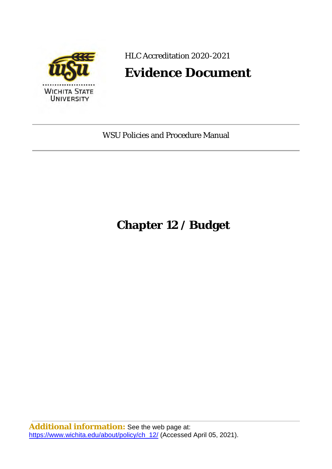

HLC Accreditation 2020-2021

## **Evidence Document**

WSU Policies and Procedure Manual

# **Chapter 12 / Budget**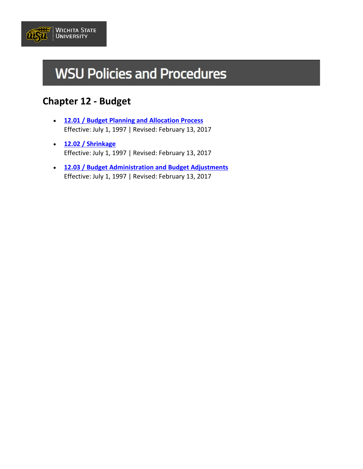

# **WSU Policies and Procedures**

## **Chapter 12 - Budget**

- **[12.01 / Budget Planning and Allocation Process](https://www.wichita.edu/about/policy/ch_12/ch12_01.php)** Effective: July 1, 1997 | Revised: February 13, 2017
- **[12.02 / Shrinkage](https://www.wichita.edu/about/policy/ch_12/ch12_02.php)** Effective: July 1, 1997 | Revised: February 13, 2017
- **[12.03 / Budget Administration and Budget Adjustments](https://www.wichita.edu/about/policy/ch_12/ch12_03.php)** Effective: July 1, 1997 | Revised: February 13, 2017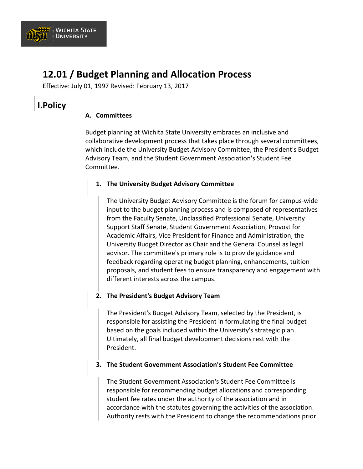

## **12.01 / Budget Planning and Allocation Process**

Effective: July 01, 1997 Revised: February 13, 2017

### **I.Policy**

#### **A. Committees**

Budget planning at Wichita State University embraces an inclusive and collaborative development process that takes place through several committees, which include the University Budget Advisory Committee, the President's Budget Advisory Team, and the Student Government Association's Student Fee Committee.

#### **1. The University Budget Advisory Committee**

The University Budget Advisory Committee is the forum for campus-wide input to the budget planning process and is composed of representatives from the Faculty Senate, Unclassified Professional Senate, University Support Staff Senate, Student Government Association, Provost for Academic Affairs, Vice President for Finance and Administration, the University Budget Director as Chair and the General Counsel as legal advisor. The committee's primary role is to provide guidance and feedback regarding operating budget planning, enhancements, tuition proposals, and student fees to ensure transparency and engagement with different interests across the campus.

#### **2. The President's Budget Advisory Team**

The President's Budget Advisory Team, selected by the President, is responsible for assisting the President in formulating the final budget based on the goals included within the University's strategic plan. Ultimately, all final budget development decisions rest with the President.

#### **3. The Student Government Association's Student Fee Committee**

The Student Government Association's Student Fee Committee is responsible for recommending budget allocations and corresponding student fee rates under the authority of the association and in accordance with the statutes governing the activities of the association. Authority rests with the President to change the recommendations prior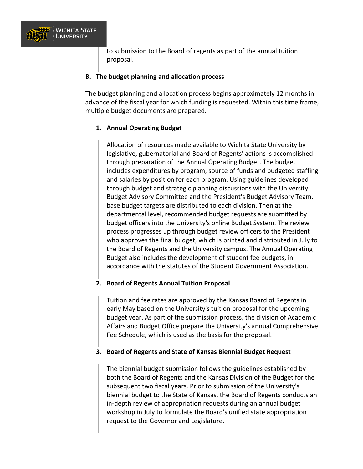

to submission to the Board of regents as part of the annual tuition proposal.

#### **B. The budget planning and allocation process**

The budget planning and allocation process begins approximately 12 months in advance of the fiscal year for which funding is requested. Within this time frame, multiple budget documents are prepared.

#### **1. Annual Operating Budget**

Allocation of resources made available to Wichita State University by legislative, gubernatorial and Board of Regents' actions is accomplished through preparation of the Annual Operating Budget. The budget includes expenditures by program, source of funds and budgeted staffing and salaries by position for each program. Using guidelines developed through budget and strategic planning discussions with the University Budget Advisory Committee and the President's Budget Advisory Team, base budget targets are distributed to each division. Then at the departmental level, recommended budget requests are submitted by budget officers into the University's online Budget System. The review process progresses up through budget review officers to the President who approves the final budget, which is printed and distributed in July to the Board of Regents and the University campus. The Annual Operating Budget also includes the development of student fee budgets, in accordance with the statutes of the Student Government Association.

#### **2. Board of Regents Annual Tuition Proposal**

Tuition and fee rates are approved by the Kansas Board of Regents in early May based on the University's tuition proposal for the upcoming budget year. As part of the submission process, the division of Academic Affairs and Budget Office prepare the University's annual Comprehensive Fee Schedule, which is used as the basis for the proposal.

#### **3. Board of Regents and State of Kansas Biennial Budget Request**

The biennial budget submission follows the guidelines established by both the Board of Regents and the Kansas Division of the Budget for the subsequent two fiscal years. Prior to submission of the University's biennial budget to the State of Kansas, the Board of Regents conducts an in-depth review of appropriation requests during an annual budget workshop in July to formulate the Board's unified state appropriation request to the Governor and Legislature.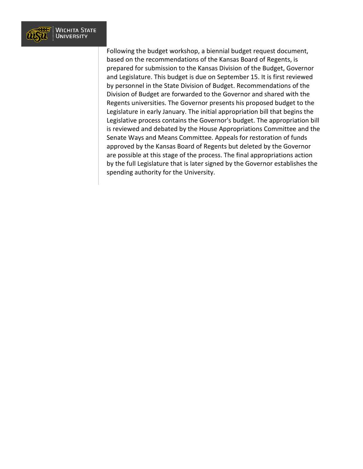

Following the budget workshop, a biennial budget request document, based on the recommendations of the Kansas Board of Regents, is prepared for submission to the Kansas Division of the Budget, Governor and Legislature. This budget is due on September 15. It is first reviewed by personnel in the State Division of Budget. Recommendations of the Division of Budget are forwarded to the Governor and shared with the Regents universities. The Governor presents his proposed budget to the Legislature in early January. The initial appropriation bill that begins the Legislative process contains the Governor's budget. The appropriation bill is reviewed and debated by the House Appropriations Committee and the Senate Ways and Means Committee. Appeals for restoration of funds approved by the Kansas Board of Regents but deleted by the Governor are possible at this stage of the process. The final appropriations action by the full Legislature that is later signed by the Governor establishes the spending authority for the University.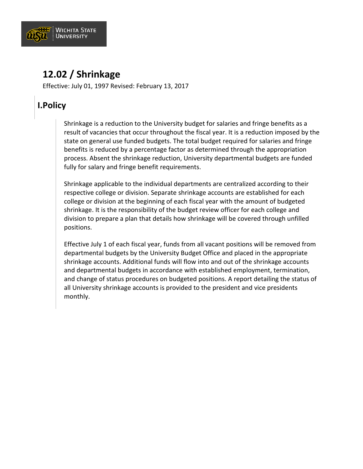

## **12.02 / Shrinkage**

Effective: July 01, 1997 Revised: February 13, 2017

## **I.Policy**

Shrinkage is a reduction to the University budget for salaries and fringe benefits as a result of vacancies that occur throughout the fiscal year. It is a reduction imposed by the state on general use funded budgets. The total budget required for salaries and fringe benefits is reduced by a percentage factor as determined through the appropriation process. Absent the shrinkage reduction, University departmental budgets are funded fully for salary and fringe benefit requirements.

Shrinkage applicable to the individual departments are centralized according to their respective college or division. Separate shrinkage accounts are established for each college or division at the beginning of each fiscal year with the amount of budgeted shrinkage. It is the responsibility of the budget review officer for each college and division to prepare a plan that details how shrinkage will be covered through unfilled positions.

Effective July 1 of each fiscal year, funds from all vacant positions will be removed from departmental budgets by the University Budget Office and placed in the appropriate shrinkage accounts. Additional funds will flow into and out of the shrinkage accounts and departmental budgets in accordance with established employment, termination, and change of status procedures on budgeted positions. A report detailing the status of all University shrinkage accounts is provided to the president and vice presidents monthly.